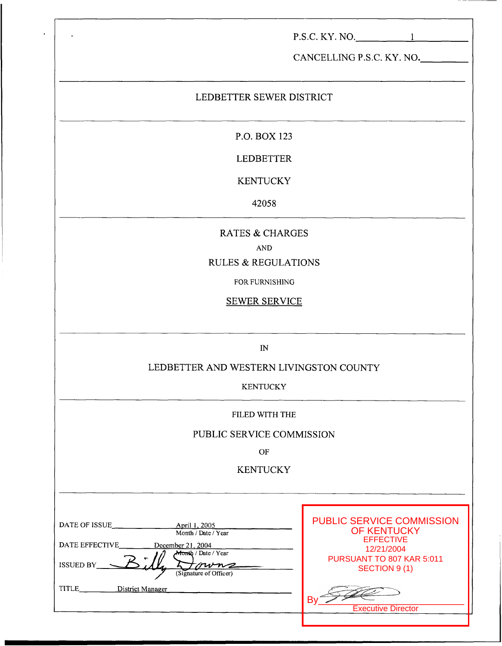|                                                                                                                                          | $P.S.C. KY. NO.$ 1<br>CANCELLING P.S.C. KY. NO.                                                                                                                                      |  |
|------------------------------------------------------------------------------------------------------------------------------------------|--------------------------------------------------------------------------------------------------------------------------------------------------------------------------------------|--|
| LEDBETTER SEWER DISTRICT                                                                                                                 |                                                                                                                                                                                      |  |
| P.O. BOX 123                                                                                                                             |                                                                                                                                                                                      |  |
| <b>LEDBETTER</b>                                                                                                                         |                                                                                                                                                                                      |  |
| <b>KENTUCKY</b>                                                                                                                          |                                                                                                                                                                                      |  |
| 42058                                                                                                                                    |                                                                                                                                                                                      |  |
| <b>RATES &amp; CHARGES</b><br><b>AND</b><br><b>RULES &amp; REGULATIONS</b><br>FOR FURNISHING<br><b>SEWER SERVICE</b>                     |                                                                                                                                                                                      |  |
| $\mathbb{N}$<br>LEDBETTER AND WESTERN LIVINGSTON COUNTY<br><b>KENTUCKY</b>                                                               |                                                                                                                                                                                      |  |
| FILED WITH THE                                                                                                                           |                                                                                                                                                                                      |  |
| PUBLIC SERVICE COMMISSION                                                                                                                |                                                                                                                                                                                      |  |
| $\mathbf{OF}% _{T}$<br><b>KENTUCKY</b>                                                                                                   |                                                                                                                                                                                      |  |
| Month / Date / Year<br>DATE EFFECTIVE<br>December 21, 2004<br>Month / Date / Year<br><b>ISSUED BY_</b><br>tmmz<br>(Signature of Officer) | <b>PUBLIC SERVICE COMMISSION</b><br><b>OF KENTUCKY</b><br><b>EFFECTIVE</b><br>12/21/2004<br>PURSUANT TO 807 KAR 5:011<br>SECTION 9(1)<br>B <sub>0</sub><br><b>Executive Director</b> |  |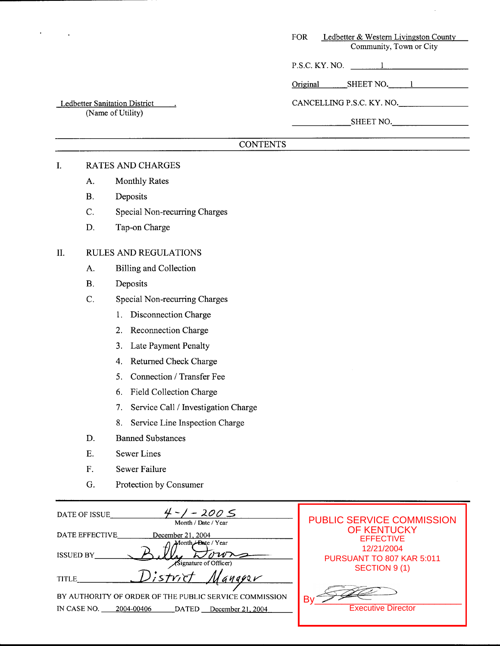| FOR | Ledbetter & Western Livingston County |
|-----|---------------------------------------|
|     | Community, Town or City               |

 $P.S.C.$  KY. NO.  $\qquad \qquad 1$ 

Original SHEET NO. 1

CANCELLING P.S.C. KY. NO.

SHEET NO.

# **CONTENTS**

# I. RATES AND CHARGES

Ledbetter Sanitation District (Name of Utility)

- A. Monthly Rates
- B. Deposits
- C. Special Non-recurring Charges
- D. Tap-on Charge

# 11. RULES AND REGULATIONS

- A. Billing and Collection
- B. Deposits
- C. Special Non-recurring Charges
	- 1. Disconnection Charge
	- 2. Reconnection Charge
	- **3.**  Late Payment Penalty
	- 4. Returned Check Charge
	- *5.*  Connection / Transfer Fee
	- **6.**  Field Collection Charge
	- 7. Service Call / Investigation Charge
	- **8.**  Service Line Inspection Charge
- D. Banned Substances
- E. Sewer Lines
- F. Sewer Failure
- G. Protection by Consumer

| $-200S$<br>DATE OF ISSUE<br>Month / Date / Year                                                                          | <b>PUBLIC SERVICE COMMISSION</b>        |
|--------------------------------------------------------------------------------------------------------------------------|-----------------------------------------|
| DATE EFFECTIVE<br>December 21, 2004<br>Month <del>/ Da</del> te / Year                                                   | <b>OF KENTUCKY</b><br><b>EFFECTIVE</b>  |
| <b>ISSUED BY</b><br>(Signature of Officer)                                                                               | 12/21/2004<br>PURSUANT TO 807 KAR 5:011 |
| strict<br>GUGG2V<br><b>TITLE</b>                                                                                         | SECTION 9 (1)                           |
| BY AUTHORITY OF ORDER OF THE PUBLIC SERVICE COMMISSION<br>IN CASE NO.<br>2004-00406<br><b>DATED</b><br>December 21, 2004 | Β١<br><b>Executive Director</b>         |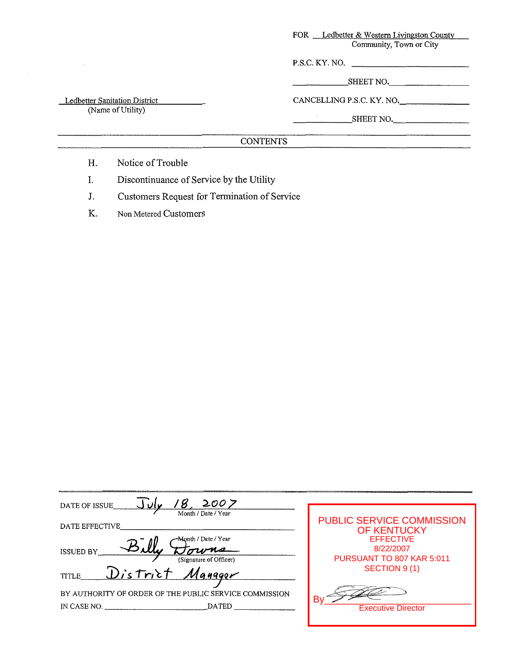| <b>FOR</b> | Ledbetter & Western Livingston County |
|------------|---------------------------------------|
|            | Community, Town or City               |

P.S.C. KY. NO.

SHEET NO.

Ledbetter Sanitation District (Name of Utility)

CANCELLING P.S.C. KY. NO.

**SHEET NO.** 

# **CONTENTS**

- H. Notice of Trouble
- I. Discontinuance of Service by the Utility
- J. Customers Request for Termination of Service
- K. Non Metered Customers

| 2007<br>DATE OF ISSUE                                  |                                                        |
|--------------------------------------------------------|--------------------------------------------------------|
| Month / Date / Year                                    |                                                        |
| DATE EFFECTIVE                                         | <b>PUBLIC SERVICE COMMISSION</b><br><b>OF KENTUCKY</b> |
| -Month / Date / Year                                   | <b>EFFECTIVE</b>                                       |
| <b>ISSUED BY</b><br>(Signature of Officer)             | 8/22/2007<br>PURSUANT TO 807 KAR 5:011                 |
| District Manager<br><b>TITLE</b>                       | SECTION 9 (1)                                          |
| BY AUTHORITY OF ORDER OF THE PUBLIC SERVICE COMMISSION |                                                        |
| <b>DATED</b><br>IN CASE NO.                            | Β١<br><b>Executive Director</b>                        |
|                                                        |                                                        |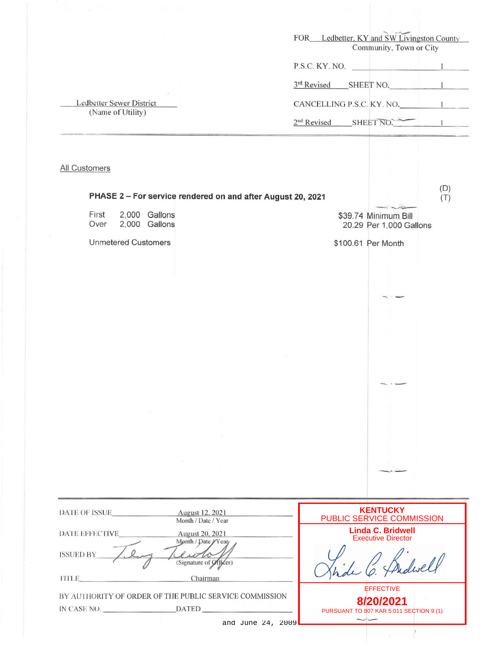| FOR Ledbetter, KY and SW Livingston County<br>Community, Town or City |                                                             |
|-----------------------------------------------------------------------|-------------------------------------------------------------|
| P.S.C. KY. NO.                                                        |                                                             |
|                                                                       |                                                             |
| 3rd Revised SHEET NO. 1                                               |                                                             |
| CANCELLING P.S.C. KY. NO. 1                                           |                                                             |
| $2nd Revised$ SHEET NO. $\sim$                                        |                                                             |
|                                                                       |                                                             |
|                                                                       |                                                             |
|                                                                       | (D)<br>(T)                                                  |
| \$39.74 Minimum Bill<br>20.29 Per 1,000 Gallons                       |                                                             |
| \$100.61 Per Month                                                    |                                                             |
|                                                                       |                                                             |
|                                                                       |                                                             |
|                                                                       |                                                             |
|                                                                       |                                                             |
|                                                                       |                                                             |
|                                                                       |                                                             |
|                                                                       |                                                             |
| $\overline{\phantom{a}}$                                              |                                                             |
|                                                                       |                                                             |
|                                                                       |                                                             |
|                                                                       |                                                             |
|                                                                       |                                                             |
|                                                                       |                                                             |
|                                                                       |                                                             |
| <b>KENTUCKY</b><br>PUBLIC SERVICE COMMISSION                          |                                                             |
| <b>Linda C. Bridwell</b><br><b>Executive Director</b>                 |                                                             |
|                                                                       |                                                             |
|                                                                       |                                                             |
| 8/20/2021                                                             |                                                             |
|                                                                       | <b>EFFECTIVE</b><br>PURSUANT TO 807 KAR 5:011 SECTION 9 (1) |

 $\omega$ 

 $\frac{1}{\beta}$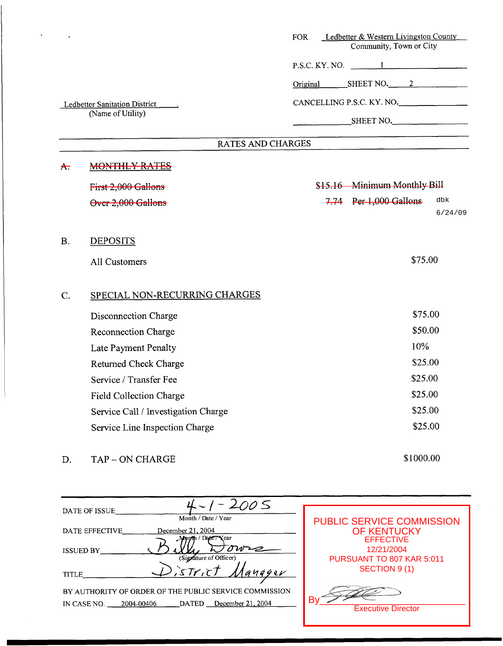| P.S.C. KY. NO. $\qquad \qquad 1$<br>$SHEET NO.$ 2<br>Original<br>CANCELLING P.S.C. KY. NO.<br>Ledbetter Sanitation District _______<br>(Name of Utility)<br>SHEET NO.<br>RATES AND CHARGES<br><b>MONTHLY RATES</b><br><del>A.</del><br>\$15.16 Minimum Monthly Bill<br>First 2,000 Gallons<br>7.74 Per 1,000 Gallons<br>Over 2,000 Gallons<br><b>DEPOSITS</b><br>В.<br>\$75.00<br><b>All Customers</b><br>SPECIAL NON-RECURRING CHARGES<br>Ć.<br>\$75.00<br>Disconnection Charge<br>\$50.00<br><b>Reconnection Charge</b><br>10%<br>Late Payment Penalty<br>\$25.00<br>Returned Check Charge | Ledbetter & Western Livingston County<br>Community, Town or City |
|----------------------------------------------------------------------------------------------------------------------------------------------------------------------------------------------------------------------------------------------------------------------------------------------------------------------------------------------------------------------------------------------------------------------------------------------------------------------------------------------------------------------------------------------------------------------------------------------|------------------------------------------------------------------|
|                                                                                                                                                                                                                                                                                                                                                                                                                                                                                                                                                                                              |                                                                  |
|                                                                                                                                                                                                                                                                                                                                                                                                                                                                                                                                                                                              |                                                                  |
|                                                                                                                                                                                                                                                                                                                                                                                                                                                                                                                                                                                              |                                                                  |
|                                                                                                                                                                                                                                                                                                                                                                                                                                                                                                                                                                                              |                                                                  |
|                                                                                                                                                                                                                                                                                                                                                                                                                                                                                                                                                                                              |                                                                  |
|                                                                                                                                                                                                                                                                                                                                                                                                                                                                                                                                                                                              |                                                                  |
|                                                                                                                                                                                                                                                                                                                                                                                                                                                                                                                                                                                              |                                                                  |
|                                                                                                                                                                                                                                                                                                                                                                                                                                                                                                                                                                                              | dbk<br>6/24/09                                                   |
|                                                                                                                                                                                                                                                                                                                                                                                                                                                                                                                                                                                              |                                                                  |
|                                                                                                                                                                                                                                                                                                                                                                                                                                                                                                                                                                                              |                                                                  |
|                                                                                                                                                                                                                                                                                                                                                                                                                                                                                                                                                                                              |                                                                  |
|                                                                                                                                                                                                                                                                                                                                                                                                                                                                                                                                                                                              |                                                                  |
|                                                                                                                                                                                                                                                                                                                                                                                                                                                                                                                                                                                              |                                                                  |
|                                                                                                                                                                                                                                                                                                                                                                                                                                                                                                                                                                                              |                                                                  |
|                                                                                                                                                                                                                                                                                                                                                                                                                                                                                                                                                                                              |                                                                  |
| Service / Transfer Fee                                                                                                                                                                                                                                                                                                                                                                                                                                                                                                                                                                       | \$25.00                                                          |
| \$25.00<br>Field Collection Charge                                                                                                                                                                                                                                                                                                                                                                                                                                                                                                                                                           |                                                                  |
| \$25.00<br>Service Call / Investigation Charge                                                                                                                                                                                                                                                                                                                                                                                                                                                                                                                                               |                                                                  |
| \$25.00<br>Service Line Inspection Charge                                                                                                                                                                                                                                                                                                                                                                                                                                                                                                                                                    |                                                                  |

# D. TAP – ON CHARGE

-

| DATE OF ISSUE                                          |                                         |
|--------------------------------------------------------|-----------------------------------------|
| Month / Date / Year<br>December 21, 2004               | <b>PUBLIC SERVICE COMMISSION</b>        |
| DATE EFFECTIVE<br>buth / Date7 Year                    | <b>OF KENTUCKY</b><br><b>EFFECTIVE</b>  |
| <b>ISSUED BY</b><br>(Signature of Officer)             | 12/21/2004<br>PURSUANT TO 807 KAR 5:011 |
| istrict<br>$a$ nagev<br>TITLE                          | SECTION 9 (1)                           |
| BY AUTHORITY OF ORDER OF THE PUBLIC SERVICE COMMISSION |                                         |
| DATED December 21, 2004<br>IN CASE NO. 2004-00406      | Bv<br><b>Executive Director</b>         |

\$1000.00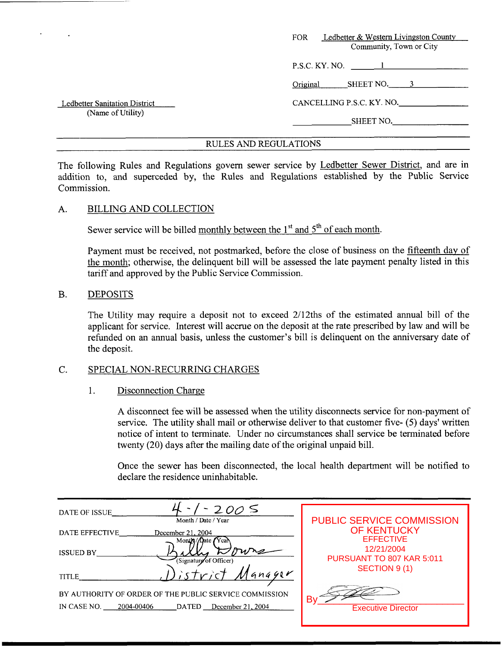|                               | Ledbetter & Western Livingston County<br><b>FOR</b><br>Community, Town or City |
|-------------------------------|--------------------------------------------------------------------------------|
|                               | $P.S.C.$ KY. NO. $\qquad \qquad$ 1                                             |
|                               | SHEET NO. 3<br>Original                                                        |
| Ledbetter Sanitation District | CANCELLING P.S.C. KY. NO.                                                      |
| (Name of Utility)             | SHEET NO.                                                                      |

The following Rules and Regulations govern sewer service by Ledbetter Sewer District, and are in addition to, and superceded by, the Rules and Regulations established by the Public Service Commission.

#### A. BILLING AND COLLECTION

Sewer service will be billed monthly between the  $1<sup>st</sup>$  and  $5<sup>th</sup>$  of each month.

Payment must be received, not postmarked, before the close of business on the fifteenth day of the month; otherwise, the delinquent bill will be assessed the late payment penalty listed in this tariff and approved by the Public Service Commission.

#### B. DEPOSITS

The Utility may require a deposit not to exceed 2/12ths of the estimated annual bill of the applicant for service. Interest will accrue on the deposit at the rate prescribed by law and will be refunded on an annual basis, unless the customer's bill is delinquent on the anniversary date of the deposit.

# C. SPECIAL NON-RECURRING CHARGES

# 1. Disconnection Charge

A disconnect fee will be assessed when the utility disconnects service for non-payment of service. The utility shall mail or otherwise deliver to that customer five- *(5)* days' written notice of intent to terminate. Under no circumstances shall service be terminated before twenty (20) days after the mailing date of the original unpaid bill.

Once the sewer has been disconnected, the local health department will be notified to declare the residence uninhabitable.

| $-2005$<br>DATE OF ISSUE<br>Month / Date / Year                                                                   | <b>PUBLIC SERVICE COMMISSION</b>        |
|-------------------------------------------------------------------------------------------------------------------|-----------------------------------------|
| DATE EFFECTIVE<br>December 21, 2004<br>Month / Date Y cal                                                         | <b>OF KENTUCKY</b><br><b>EFFECTIVE</b>  |
| <b>ISSUED BY</b><br>Signature of Officer)                                                                         | 12/21/2004<br>PURSUANT TO 807 KAR 5:011 |
| TITLE                                                                                                             | <b>SECTION 9 (1)</b>                    |
| BY AUTHORITY OF ORDER OF THE PUBLIC SERVICE COMMISSION<br>2004-00406<br>IN CASE NO.<br>DATED<br>December 21, 2004 | B٧<br><b>Executive Director</b>         |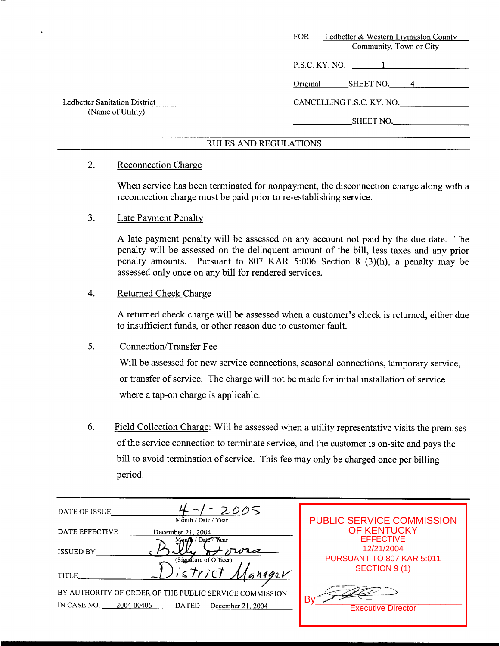|                               | FOR.<br>Ledbetter & Western Livingston County<br>Community, Town or City |
|-------------------------------|--------------------------------------------------------------------------|
|                               | P.S.C. KY. NO.<br>$\mathbf{1}$                                           |
|                               | Original<br>SHEET NO. 4                                                  |
| Ledbetter Sanitation District | CANCELLING P.S.C. KY. NO.                                                |
| (Name of Utility)             | SHEET NO.                                                                |
|                               |                                                                          |

# 2. Reconnection Charge

When service has been terminated for nonpayment, the disconnection charge along with a reconnection charge must be paid prior to re-establishing service.

# 3. Late Payment Penalty

**A** late payment penalty will be assessed on any account not paid by the due date. The penalty will be assessed on the delinquent amount of the bill, less taxes and any prior penalty amounts. Pursuant to 807 KAR *5:006* Section 8 (3)(h), a penalty may be assessed only once on any bill for rendered services.

# 4. Returned Check Charge

**A** returned check charge will be assessed when a customer's check is returned, either due to insufficient funds, or other reason due to customer fault.

# 5. Connection/Transfer Fee

Will be assessed for new service connections, seasonal connections, temporary service, or transfer of service. The charge will not be made for initial installation of service where a tap-on charge is applicable.

6. Field Collection Charge: Will be assessed when a utility representative visits the premises of the service connection to terminate service, and the customer is on-site and pays the bill to avoid termination of service. This fee may only be charged once per billing period.

| 2005<br>DATE OF ISSUE                                          |                                  |
|----------------------------------------------------------------|----------------------------------|
| Month / Date / Year                                            | <b>PUBLIC SERVICE COMMISSION</b> |
| DATE EFFECTIVE<br>December 21, 2004                            | <b>OF KENTUCKY</b>               |
| Dare Thear                                                     | <b>EFFECTIVE</b>                 |
| <b>ISSUED BY</b>                                               | 12/21/2004                       |
| (Signature of Officer)                                         | PURSUANT TO 807 KAR 5:011        |
| strici<br>GMOQcV<br><b>TITLE</b>                               | SECTION 9 (1)                    |
|                                                                |                                  |
| BY AUTHORITY OF ORDER OF THE PUBLIC SERVICE COMMISSION         |                                  |
| IN CASE NO.<br>2004-00406<br><b>DATED</b><br>December 21, 2004 | Bv<br><b>Executive Director</b>  |
|                                                                |                                  |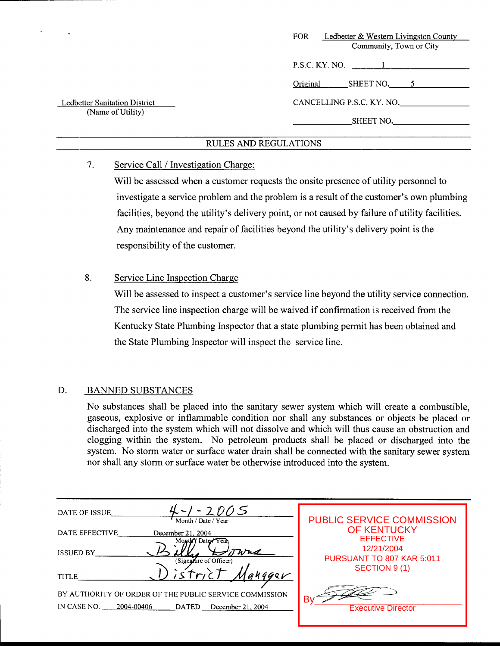|                                                           | FOR.<br>Ledbetter & Western Livingston County<br>Community, Town or City |
|-----------------------------------------------------------|--------------------------------------------------------------------------|
|                                                           | $P.S.C. KY. NO.$ 1                                                       |
|                                                           | Original<br>SHEET NO. $5$                                                |
| <b>Ledbetter Sanitation District</b><br>(Name of Utility) | CANCELLING P.S.C. KY. NO.                                                |
|                                                           | SHEET NO.                                                                |

# **7.** Service Call / Investigation Charge:

Will be assessed when a customer requests the onsite presence of utility personnel to investigate a service problem and the problem is a result of the customer's own plumbing facilities, beyond the utility's delivery point, or not caused by failure of utility facilities. Any maintenance and repair of facilities beyond the utility's delivery point is the responsibility of the customer.

# 8. Service Line Inspection Charge

Will be assessed to inspect a customer's service line beyond the utility service connection. The service line inspection charge will be waived if confirmation is received from the Kentucky State Plumbing Inspector that a state plumbing permit has been obtained and the State Plumbing Inspector will inspect the service line.

# D. BANNED SUBSTANCES

No substances shall be placed into the sanitary sewer system which will create a combustible, gaseous, explosive or inflammable condition nor shall any substances or objects be placed or discharged into the system which will not dissolve and which will thus cause an obstruction and clogging within the system. No petroleum products shall be placed or discharged into the system. No storm water or surface water drain shall be connected with the sanitary sewer system nor shall any storm or surface water be otherwise introduced into the system.

| $4 - 1 - 2005$<br>DATE OF ISSUE<br>Month / Date / Year      | <b>PUBLIC SERVICE COMMISSION</b>        |
|-------------------------------------------------------------|-----------------------------------------|
| DATE EFFECTIVE<br>December 21, 2004<br>Month Date Year      | <b>OF KENTUCKY</b><br><b>EFFECTIVE</b>  |
| Wus<br><b>ISSUED BY</b><br>(Signature of Officer)           | 12/21/2004<br>PURSUANT TO 807 KAR 5:011 |
| 14921<br><b>TITLE</b>                                       | SECTION 9 (1)                           |
| BY AUTHORITY OF ORDER OF THE PUBLIC SERVICE COMMISSION      | Bv                                      |
| IN CASE NO. 2004-00406<br><b>DATED</b><br>December 21, 2004 | <b>Executive Director</b>               |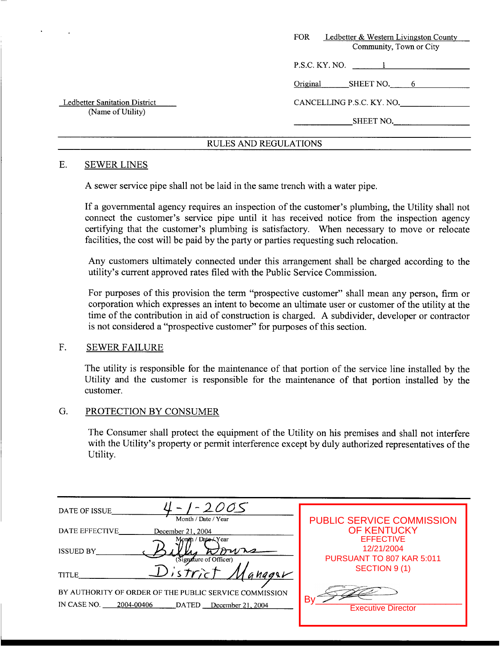|                               | <b>FOR</b><br>Ledbetter & Western Livingston County |
|-------------------------------|-----------------------------------------------------|
|                               | Community, Town or City                             |
|                               | P.S.C. KY. NO. 1                                    |
|                               | Original<br>SHEET NO. 6                             |
| Ledbetter Sanitation District | CANCELLING P.S.C. KY. NO.                           |
| (Name of Utility)             | SHEET NO.                                           |
|                               |                                                     |

#### E. SEWER LINES

A sewer service pipe shall not be laid in the same trench with a water pipe.

If a governmental agency requires an inspection of the customer's plumbing, the Utility shall not connect the customer's service pipe until it has received notice from the inspection agency certifying that the customer's plumbing is satisfactory. When necessary to move or relocate facilities, the cost will be paid by the party or parties requesting such relocation.

Any customers ultimately connected under this arrangement shall be charged according to the utility's current approved rates filed with the Public Service Commission.

For purposes of this provision the term "prospective customer" shall mean any person, firm or corporation which expresses an intent to become an ultimate user or customer of the utility at the time of the contribution in aid of construction is charged. A subdivider, developer or contractor is not considered a "prospective customer" for purposes of this section.

#### F. SEWER FAILURE

The utility is responsible for the maintenance of that portion of the service line installed by the Utility and the customer is responsible for the maintenance of that portion installed by the customer.

#### G. PROTECTION BY CONSUMER

The Consumer shall protect the equipment of the Utility on his premises and shall not interfere with the Utility's property or permit interference except by duly authorized representatives of the Utility.

| 2005<br>DATE OF ISSUE                                  |                                 |
|--------------------------------------------------------|---------------------------------|
| Month / Date / Year                                    | PUBLIC SERVICE COMMISSION       |
| DATE EFFECTIVE<br>December 21, 2004                    | <b>OF KENTUCKY</b>              |
| Month / Dato—∡Year                                     | <b>EFFECTIVE</b>                |
| <b>ISSUED BY</b>                                       | 12/21/2004                      |
| Signature of Officer)                                  | PURSUANT TO 807 KAR 5:011       |
| Distric<br>anggar<br><b>TITLE</b>                      | SECTION 9 (1)                   |
| BY AUTHORITY OF ORDER OF THE PUBLIC SERVICE COMMISSION |                                 |
| IN CASE NO.<br>2004-00406<br>DATED December 21, 2004   | B٧<br><b>Executive Director</b> |
|                                                        |                                 |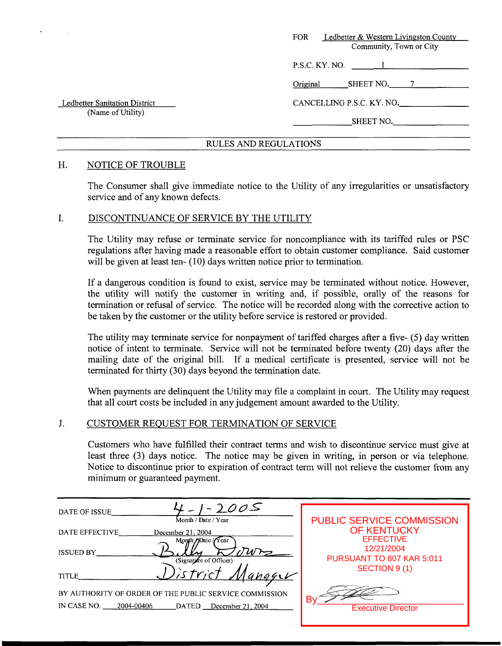| Ledbetter & Western Livingston County<br><b>FOR</b><br>Community, Town or City |
|--------------------------------------------------------------------------------|
| P.S.C. KY. NO.                                                                 |
| SHEET NO.<br>Original<br>$\tau$                                                |
| CANCELLING P.S.C. KY. NO.                                                      |
| SHEET NO.                                                                      |
|                                                                                |

#### H. NOTICE OF TROUBLE

The Consumer shall give immediate notice to the Utility of any irregularities or unsatisfactory service and of any known defects.

#### I. DISCONTINUANCE OF SERVICE BY THE UTILITY

The Utility may refuse or terminate service for noncompliance with its tariffed rules or PSC regulations after having made a reasonable effort to obtain customer compliance. Said customer will be given at least ten- (10) days written notice prior to termination.

If a dangerous condition is found to exist, service may be terminated without notice. However, the utility will notify the customer in writing and, if possible, orally of the reasons for termination or refusal of service. The notice will be recorded along with the corrective action to be taken by the customer or the utility before service is restored or provided.

The utility may terminate service for nonpayment of tariffed charges after a five- (5) day written notice of intent to terminate. Service will not be terminated before twenty (20) days after the mailing date of the original bill. If a medical certificate is presented, service will not be terminated for thirty (30) days beyond the termination date.

When payments are delinquent the Utility may file a complaint in court. The Utility may request that all court costs be included in any judgement amount awarded to the Utility.

# J. CUSTOMER REQUEST FOR TERMINATION OF SERVICE

Customers who have fulfilled their contract terms and wish to discontinue service must give at least three **(3)** days notice. The notice may be given in writing, in person or via telephone. Notice to discontinue prior to expiration of contract term will not relieve the customer from any minimum or guaranteed payment.

| DATE OF ISSUE             | $-2005$<br>Month / Date / Year                         |                                                        |
|---------------------------|--------------------------------------------------------|--------------------------------------------------------|
| DATE EFFECTIVE            | December 21, 2004                                      | <b>PUBLIC SERVICE COMMISSION</b><br><b>OF KENTUCKY</b> |
|                           | Month <i>Date</i> / $\sqrt{Y}$ ear                     | <b>EFFECTIVE</b>                                       |
| <b>ISSUED BY</b>          | (Signature of Officer)                                 | 12/21/2004<br>PURSUANT TO 807 KAR 5:011                |
| <b>TITLE</b>              | stric                                                  | SECTION 9 (1)                                          |
|                           | BY AUTHORITY OF ORDER OF THE PUBLIC SERVICE COMMISSION |                                                        |
| IN CASE NO.<br>2004-00406 | DATED December 21, 2004                                | Bv<br><b>Executive Director</b>                        |
|                           |                                                        |                                                        |